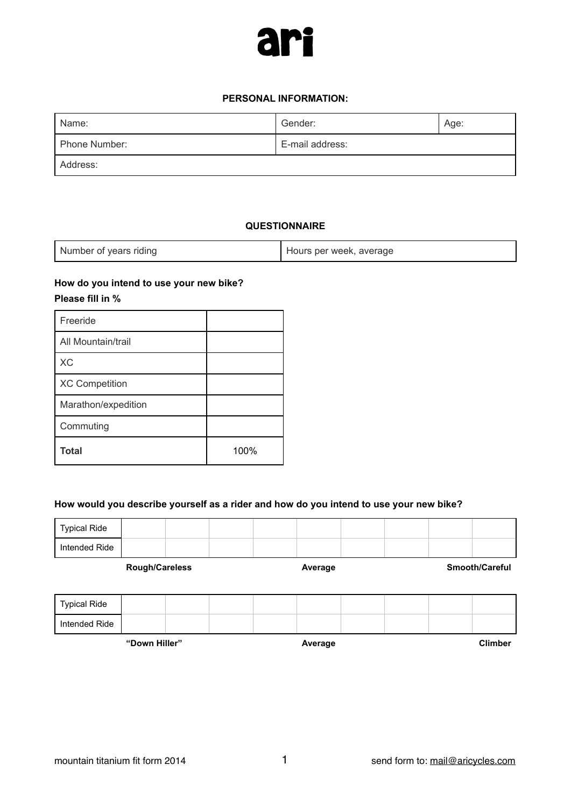

#### **PERSONAL INFORMATION:**

| Name:         | Gender:         | Age: |
|---------------|-----------------|------|
| Phone Number: | E-mail address: |      |
| Address:      |                 |      |

### **QUESTIONNAIRE**

| Number of years riding | Hours per week, average |
|------------------------|-------------------------|
|------------------------|-------------------------|

## **How do you intend to use your new bike? Please fill in %**

| <b>Total</b>          | 100% |
|-----------------------|------|
| Commuting             |      |
| Marathon/expedition   |      |
| <b>XC Competition</b> |      |
| <b>XC</b>             |      |
| All Mountain/trail    |      |
| Freeride              |      |

#### **How would you describe yourself as a rider and how do you intend to use your new bike?**

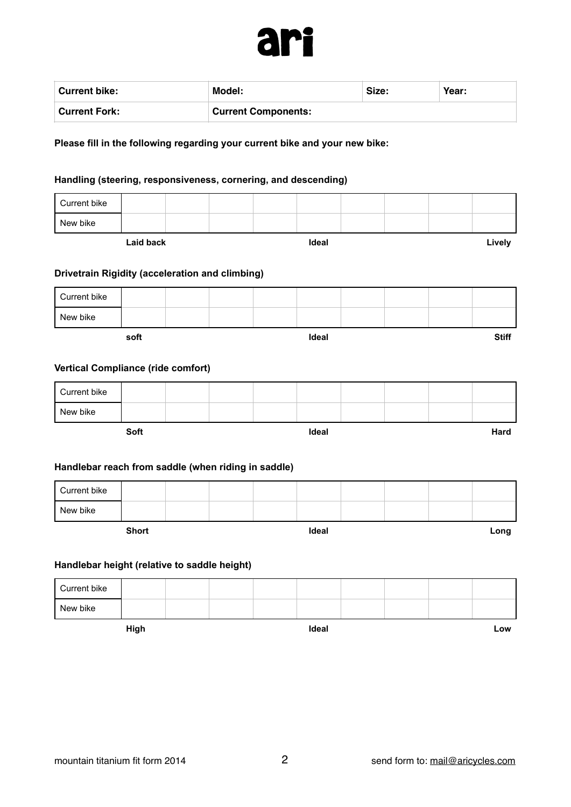

| Current bike:        | Model:                     | Size: | Year: |
|----------------------|----------------------------|-------|-------|
| <b>Current Fork:</b> | <b>Current Components:</b> |       |       |

**Please fill in the following regarding your current bike and your new bike:** 

#### **Handling (steering, responsiveness, cornering, and descending)**

| Current bike<br>New bike<br><b>Laid back</b><br>Ideal<br>Drivetrain Rigidity (acceleration and climbing)<br>Current bike<br>New bike<br>Ideal<br>soft<br><b>Vertical Compliance (ride comfort)</b><br>Current bike<br>New bike<br>Soft<br>Ideal | Lively<br><b>Stiff</b> |  |  |  |  |
|-------------------------------------------------------------------------------------------------------------------------------------------------------------------------------------------------------------------------------------------------|------------------------|--|--|--|--|
|                                                                                                                                                                                                                                                 |                        |  |  |  |  |
|                                                                                                                                                                                                                                                 |                        |  |  |  |  |
|                                                                                                                                                                                                                                                 |                        |  |  |  |  |
|                                                                                                                                                                                                                                                 |                        |  |  |  |  |
|                                                                                                                                                                                                                                                 |                        |  |  |  |  |
|                                                                                                                                                                                                                                                 |                        |  |  |  |  |
|                                                                                                                                                                                                                                                 |                        |  |  |  |  |
|                                                                                                                                                                                                                                                 |                        |  |  |  |  |
|                                                                                                                                                                                                                                                 |                        |  |  |  |  |
|                                                                                                                                                                                                                                                 |                        |  |  |  |  |
|                                                                                                                                                                                                                                                 | Hard                   |  |  |  |  |
| Handlebar reach from saddle (when riding in saddle)                                                                                                                                                                                             |                        |  |  |  |  |
| Current bike                                                                                                                                                                                                                                    |                        |  |  |  |  |
| New bike                                                                                                                                                                                                                                        |                        |  |  |  |  |
| <b>Short</b><br>Ideal                                                                                                                                                                                                                           | Long                   |  |  |  |  |
| Handlebar height (relative to saddle height)                                                                                                                                                                                                    |                        |  |  |  |  |
| Current bike                                                                                                                                                                                                                                    |                        |  |  |  |  |
| New bike                                                                                                                                                                                                                                        |                        |  |  |  |  |

**High Ideal Low**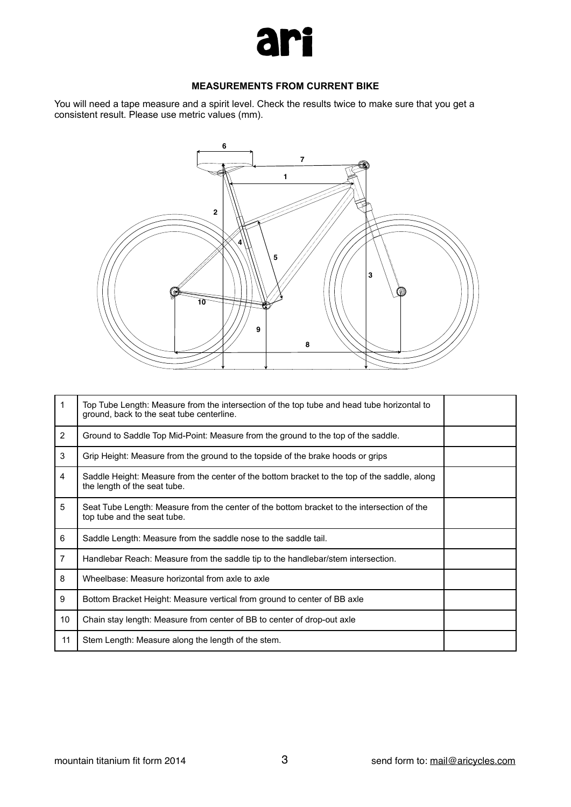

### **MEASUREMENTS FROM CURRENT BIKE**

You will need a tape measure and a spirit level. Check the results twice to make sure that you get a consistent result. Please use metric values (mm).



| 1              | Top Tube Length: Measure from the intersection of the top tube and head tube horizontal to<br>ground, back to the seat tube centerline. |  |
|----------------|-----------------------------------------------------------------------------------------------------------------------------------------|--|
| $\overline{2}$ | Ground to Saddle Top Mid-Point: Measure from the ground to the top of the saddle.                                                       |  |
| 3              | Grip Height: Measure from the ground to the topside of the brake hoods or grips                                                         |  |
| 4              | Saddle Height: Measure from the center of the bottom bracket to the top of the saddle, along<br>the length of the seat tube.            |  |
| 5              | Seat Tube Length: Measure from the center of the bottom bracket to the intersection of the<br>top tube and the seat tube.               |  |
| 6              | Saddle Length: Measure from the saddle nose to the saddle tail.                                                                         |  |
| $\overline{7}$ | Handlebar Reach: Measure from the saddle tip to the handlebar/stem intersection.                                                        |  |
| 8              | Wheelbase: Measure horizontal from axle to axle                                                                                         |  |
| 9              | Bottom Bracket Height: Measure vertical from ground to center of BB axle                                                                |  |
| 10             | Chain stay length: Measure from center of BB to center of drop-out axle                                                                 |  |
| 11             | Stem Length: Measure along the length of the stem.                                                                                      |  |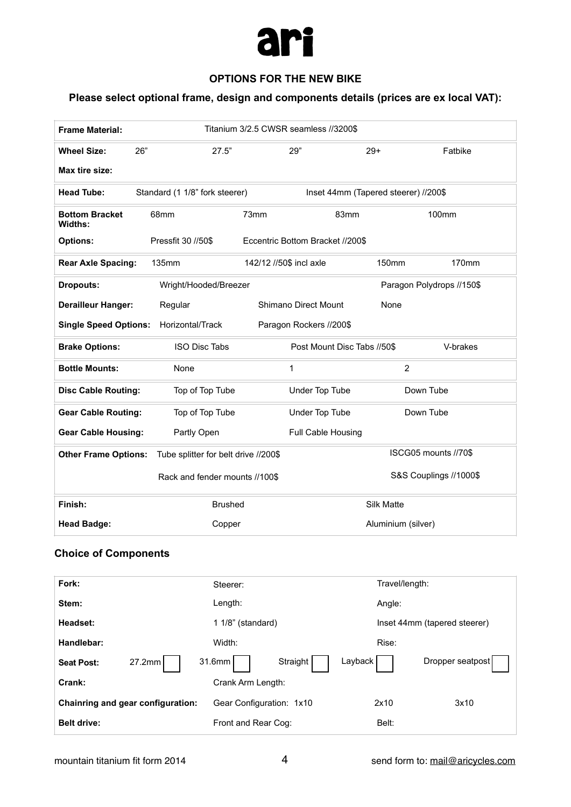

## **OPTIONS FOR THE NEW BIKE**

# **Please select optional frame, design and components details (prices are ex local VAT):**

| <b>Frame Material:</b>           |                                      | Titanium 3/2.5 CWSR seamless //3200\$            |  |
|----------------------------------|--------------------------------------|--------------------------------------------------|--|
| 26"<br><b>Wheel Size:</b>        | 27.5"                                | 29"<br>$29+$<br>Fatbike                          |  |
| Max tire size:                   |                                      |                                                  |  |
| <b>Head Tube:</b>                | Standard (1 1/8" fork steerer)       | Inset 44mm (Tapered steerer) //200\$             |  |
| <b>Bottom Bracket</b><br>Widths: | 68mm                                 | 73mm<br>83mm<br>100mm                            |  |
| <b>Options:</b>                  | Pressfit 30 //50\$                   | Eccentric Bottom Bracket //200\$                 |  |
| <b>Rear Axle Spacing:</b>        | 135mm                                | 142/12 //50\$ incl axle<br><b>150mm</b><br>170mm |  |
| <b>Dropouts:</b>                 | Wright/Hooded/Breezer                | Paragon Polydrops //150\$                        |  |
| <b>Derailleur Hanger:</b>        | Regular                              | Shimano Direct Mount<br>None                     |  |
| <b>Single Speed Options:</b>     | Horizontal/Track                     | Paragon Rockers //200\$                          |  |
| <b>Brake Options:</b>            | ISO Disc Tabs                        | Post Mount Disc Tabs //50\$<br>V-brakes          |  |
| <b>Bottle Mounts:</b>            | None                                 | $\overline{2}$<br>1                              |  |
| <b>Disc Cable Routing:</b>       | Top of Top Tube                      | Under Top Tube<br>Down Tube                      |  |
| <b>Gear Cable Routing:</b>       | Top of Top Tube                      | Under Top Tube<br>Down Tube                      |  |
| <b>Gear Cable Housing:</b>       | Partly Open                          | Full Cable Housing                               |  |
| <b>Other Frame Options:</b>      | Tube splitter for belt drive //200\$ | ISCG05 mounts //70\$                             |  |
|                                  | Rack and fender mounts //100\$       | S&S Couplings //1000\$                           |  |
| Finish:                          | <b>Brushed</b>                       | Silk Matte                                       |  |
| <b>Head Badge:</b>               | Copper                               | Aluminium (silver)                               |  |
| <b>Choice of Components</b>      |                                      |                                                  |  |
| - -                              |                                      | $\mathbf{u}$                                     |  |

| Fork:                             | Steerer:                      | Travel/length:               |
|-----------------------------------|-------------------------------|------------------------------|
| Stem:                             | Length:                       | Angle:                       |
| Headset:                          | 1 1/8" (standard)             | Inset 44mm (tapered steerer) |
| Handlebar:                        | Width:                        | Rise:                        |
| 27.2mm<br><b>Seat Post:</b>       | Layback<br>Straight<br>31.6mm | Dropper seatpost             |
| Crank:                            | Crank Arm Length:             |                              |
| Chainring and gear configuration: | Gear Configuration: 1x10      | 2x10<br>3x10                 |
| <b>Belt drive:</b>                | Front and Rear Cog:           | Belt:                        |